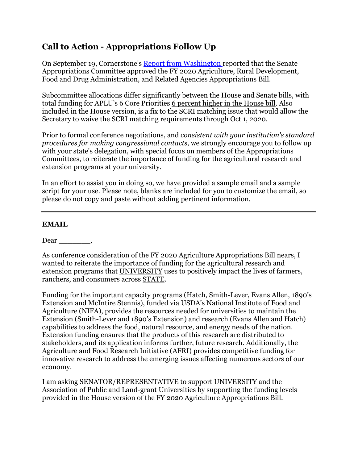## **Call to Action - Appropriations Follow Up**

On September 19, Cornerstone's [Report from Washington](https://docs.wixstatic.com/ugd/cbc5b5_a69e90eabba14bf3ae75bed917678317.pdf) reported that the Senate Appropriations Committee approved the FY 2020 Agriculture, Rural Development, Food and Drug Administration, and Related Agencies Appropriations Bill.

Subcommittee allocations differ significantly between the House and Senate bills, with total funding for APLU's 6 Core Priorities 6 percent higher in the House bill. Also included in the House version, is a fix to the SCRI matching issue that would allow the Secretary to waive the SCRI matching requirements through Oct 1, 2020.

Prior to formal conference negotiations, and *consistent with your institution's standard procedures for making congressional contacts*, we strongly encourage you to follow up with your state's delegation, with special focus on members of the Appropriations Committees, to reiterate the importance of funding for the agricultural research and extension programs at your university.

In an effort to assist you in doing so, we have provided a sample email and a sample script for your use. Please note, blanks are included for you to customize the email, so please do not copy and paste without adding pertinent information.

## **EMAIL**

Dear .

As conference consideration of the FY 2020 Agriculture Appropriations Bill nears, I wanted to reiterate the importance of funding for the agricultural research and extension programs that UNIVERSITY uses to positively impact the lives of farmers, ranchers, and consumers across STATE.

Funding for the important capacity programs (Hatch, Smith-Lever, Evans Allen, 1890's Extension and McIntire Stennis), funded via USDA's National Institute of Food and Agriculture (NIFA), provides the resources needed for universities to maintain the Extension (Smith-Lever and 1890's Extension) and research (Evans Allen and Hatch) capabilities to address the food, natural resource, and energy needs of the nation. Extension funding ensures that the products of this research are distributed to stakeholders, and its application informs further, future research. Additionally, the Agriculture and Food Research Initiative (AFRI) provides competitive funding for innovative research to address the emerging issues affecting numerous sectors of our economy.

I am asking SENATOR/REPRESENTATIVE to support UNIVERSITY and the Association of Public and Land-grant Universities by supporting the funding levels provided in the House version of the FY 2020 Agriculture Appropriations Bill.